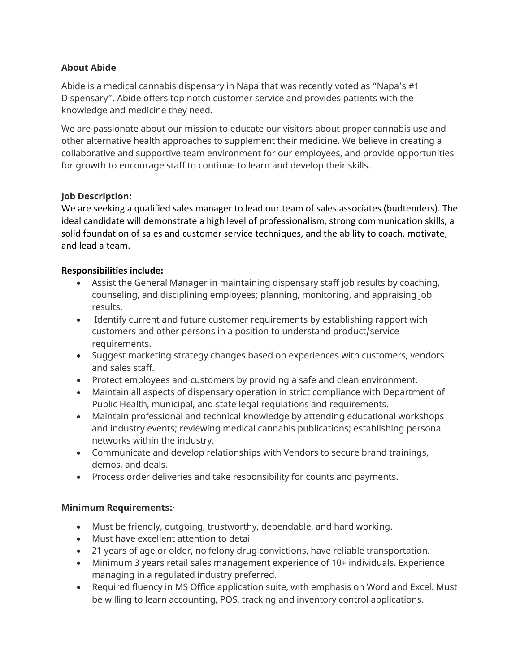## **About Abide**

Abide is a medical cannabis dispensary in Napa that was recently voted as "Napa's #1 Dispensary". Abide offers top notch customer service and provides patients with the knowledge and medicine they need.

We are passionate about our mission to educate our visitors about proper cannabis use and other alternative health approaches to supplement their medicine. We believe in creating a collaborative and supportive team environment for our employees, and provide opportunities for growth to encourage staff to continue to learn and develop their skills.

## **Job Description:**

We are seeking a qualified sales manager to lead our team of sales associates (budtenders). The ideal candidate will demonstrate a high level of professionalism, strong communication skills, a solid foundation of sales and customer service techniques, and the ability to coach, motivate, and lead a team.

# **Responsibilities include:**

- Assist the General Manager in maintaining dispensary staff job results by coaching, counseling, and disciplining employees; planning, monitoring, and appraising job results.
- Identify current and future customer requirements by establishing rapport with customers and other persons in a position to understand product/service requirements.
- Suggest marketing strategy changes based on experiences with customers, vendors and sales staff.
- Protect employees and customers by providing a safe and clean environment.
- Maintain all aspects of dispensary operation in strict compliance with Department of Public Health, municipal, and state legal regulations and requirements.
- Maintain professional and technical knowledge by attending educational workshops and industry events; reviewing medical cannabis publications; establishing personal networks within the industry.
- Communicate and develop relationships with Vendors to secure brand trainings, demos, and deals.
- Process order deliveries and take responsibility for counts and payments.

## **Minimum Requirements:**·

- Must be friendly, outgoing, trustworthy, dependable, and hard working.
- Must have excellent attention to detail
- 21 years of age or older, no felony drug convictions, have reliable transportation.
- Minimum 3 years retail sales management experience of 10+ individuals. Experience managing in a regulated industry preferred.
- Required fluency in MS Office application suite, with emphasis on Word and Excel. Must be willing to learn accounting, POS, tracking and inventory control applications.